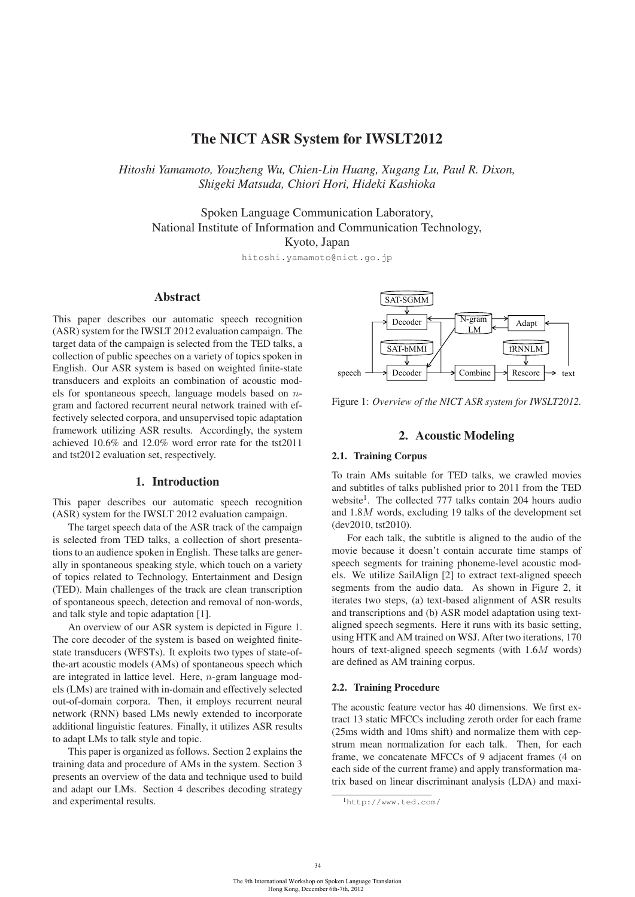# The NICT ASR System for IWSLT2012

*Hitoshi Yamamoto, Youzheng Wu, Chien-Lin Huang, Xugang Lu, Paul R. Dixon, Shigeki Matsuda, Chiori Hori, Hideki Kashioka*

Spoken Language Communication Laboratory, National Institute of Information and Communication Technology, Kyoto, Japan

hitoshi.yamamoto@nict.go.jp

## Abstract

This paper describes our automatic speech recognition (ASR) system for the IWSLT 2012 evaluation campaign. The target data of the campaign is selected from the TED talks, a collection of public speeches on a variety of topics spoken in English. Our ASR system is based on weighted finite-state transducers and exploits an combination of acoustic models for spontaneous speech, language models based on ngram and factored recurrent neural network trained with effectively selected corpora, and unsupervised topic adaptation framework utilizing ASR results. Accordingly, the system achieved 10.6% and 12.0% word error rate for the tst2011 and tst2012 evaluation set, respectively.

## 1. Introduction

This paper describes our automatic speech recognition (ASR) system for the IWSLT 2012 evaluation campaign.

The target speech data of the ASR track of the campaign is selected from TED talks, a collection of short presentations to an audience spoken in English. These talks are generally in spontaneous speaking style, which touch on a variety of topics related to Technology, Entertainment and Design (TED). Main challenges of the track are clean transcription of spontaneous speech, detection and removal of non-words, and talk style and topic adaptation [1].

An overview of our ASR system is depicted in Figure 1. The core decoder of the system is based on weighted finitestate transducers (WFSTs). It exploits two types of state-ofthe-art acoustic models (AMs) of spontaneous speech which are integrated in lattice level. Here, n-gram language models (LMs) are trained with in-domain and effectively selected out-of-domain corpora. Then, it employs recurrent neural network (RNN) based LMs newly extended to incorporate additional linguistic features. Finally, it utilizes ASR results to adapt LMs to talk style and topic.

This paper is organized as follows. Section 2 explains the training data and procedure of AMs in the system. Section 3 presents an overview of the data and technique used to build and adapt our LMs. Section 4 describes decoding strategy and experimental results.



Figure 1: *Overview of the NICT ASR system for IWSLT2012.*

### 2. Acoustic Modeling

#### 2.1. Training Corpus

To train AMs suitable for TED talks, we crawled movies and subtitles of talks published prior to 2011 from the TED website<sup>1</sup>. The collected 777 talks contain 204 hours audio and 1.8M words, excluding 19 talks of the development set (dev2010, tst2010).

For each talk, the subtitle is aligned to the audio of the movie because it doesn't contain accurate time stamps of speech segments for training phoneme-level acoustic models. We utilize SailAlign [2] to extract text-aligned speech segments from the audio data. As shown in Figure 2, it iterates two steps, (a) text-based alignment of ASR results and transcriptions and (b) ASR model adaptation using textaligned speech segments. Here it runs with its basic setting, using HTK and AM trained on WSJ. After two iterations, 170 hours of text-aligned speech segments (with 1.6M words) are defined as AM training corpus.

#### 2.2. Training Procedure

The acoustic feature vector has 40 dimensions. We first extract 13 static MFCCs including zeroth order for each frame (25ms width and 10ms shift) and normalize them with cepstrum mean normalization for each talk. Then, for each frame, we concatenate MFCCs of 9 adjacent frames (4 on each side of the current frame) and apply transformation matrix based on linear discriminant analysis (LDA) and maxi-

<sup>1</sup>http://www.ted.com/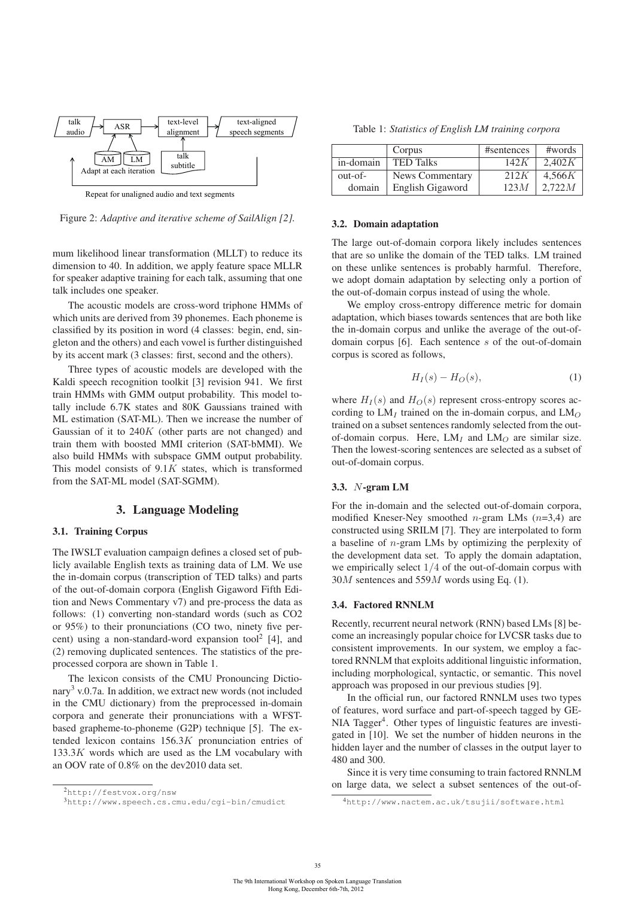

Repeat for unaligned audio and text segments

Figure 2: *Adaptive and iterative scheme of SailAlign [2].*

mum likelihood linear transformation (MLLT) to reduce its dimension to 40. In addition, we apply feature space MLLR for speaker adaptive training for each talk, assuming that one talk includes one speaker.

The acoustic models are cross-word triphone HMMs of which units are derived from 39 phonemes. Each phoneme is classified by its position in word (4 classes: begin, end, singleton and the others) and each vowel is further distinguished by its accent mark (3 classes: first, second and the others).

Three types of acoustic models are developed with the Kaldi speech recognition toolkit [3] revision 941. We first train HMMs with GMM output probability. This model totally include 6.7K states and 80K Gaussians trained with ML estimation (SAT-ML). Then we increase the number of Gaussian of it to  $240K$  (other parts are not changed) and train them with boosted MMI criterion (SAT-bMMI). We also build HMMs with subspace GMM output probability. This model consists of  $9.1K$  states, which is transformed from the SAT-ML model (SAT-SGMM).

## 3. Language Modeling

#### 3.1. Training Corpus

The IWSLT evaluation campaign defines a closed set of publicly available English texts as training data of LM. We use the in-domain corpus (transcription of TED talks) and parts of the out-of-domain corpora (English Gigaword Fifth Edition and News Commentary v7) and pre-process the data as follows: (1) converting non-standard words (such as CO2 or 95%) to their pronunciations (CO two, ninety five percent) using a non-standard-word expansion tool<sup>2</sup> [4], and (2) removing duplicated sentences. The statistics of the preprocessed corpora are shown in Table 1.

The lexicon consists of the CMU Pronouncing Dictionary<sup>3</sup> v.0.7a. In addition, we extract new words (not included in the CMU dictionary) from the preprocessed in-domain corpora and generate their pronunciations with a WFSTbased grapheme-to-phoneme (G2P) technique [5]. The extended lexicon contains 156.3K pronunciation entries of  $133.3K$  words which are used as the LM vocabulary with an OOV rate of 0.8% on the dev2010 data set.

Table 1: *Statistics of English LM training corpora*

|           | Corpus           | #sentences | #words |
|-----------|------------------|------------|--------|
| in-domain | <b>TED Talks</b> | 142K       | 2.402K |
| out-of-   | News Commentary  | 212K       | 4.566K |
| domain    | English Gigaword | 123M       | 2.722M |

### 3.2. Domain adaptation

The large out-of-domain corpora likely includes sentences that are so unlike the domain of the TED talks. LM trained on these unlike sentences is probably harmful. Therefore, we adopt domain adaptation by selecting only a portion of the out-of-domain corpus instead of using the whole.

We employ cross-entropy difference metric for domain adaptation, which biases towards sentences that are both like the in-domain corpus and unlike the average of the out-ofdomain corpus [6]. Each sentence s of the out-of-domain corpus is scored as follows,

$$
H_I(s) - H_O(s),\tag{1}
$$

where  $H_I(s)$  and  $H_O(s)$  represent cross-entropy scores according to  $LM<sub>I</sub>$  trained on the in-domain corpus, and  $LM<sub>O</sub>$ trained on a subset sentences randomly selected from the outof-domain corpus. Here,  $LM<sub>I</sub>$  and  $LM<sub>O</sub>$  are similar size. Then the lowest-scoring sentences are selected as a subset of out-of-domain corpus.

#### 3.3. N-gram LM

For the in-domain and the selected out-of-domain corpora, modified Kneser-Ney smoothed *n*-gram LMs  $(n=3,4)$  are constructed using SRILM [7]. They are interpolated to form a baseline of n-gram LMs by optimizing the perplexity of the development data set. To apply the domain adaptation, we empirically select  $1/4$  of the out-of-domain corpus with  $30M$  sentences and  $559M$  words using Eq. (1).

#### 3.4. Factored RNNLM

Recently, recurrent neural network (RNN) based LMs [8] become an increasingly popular choice for LVCSR tasks due to consistent improvements. In our system, we employ a factored RNNLM that exploits additional linguistic information, including morphological, syntactic, or semantic. This novel approach was proposed in our previous studies [9].

In the official run, our factored RNNLM uses two types of features, word surface and part-of-speech tagged by GE-NIA Tagger<sup>4</sup>. Other types of linguistic features are investigated in [10]. We set the number of hidden neurons in the hidden layer and the number of classes in the output layer to 480 and 300.

Since it is very time consuming to train factored RNNLM on large data, we select a subset sentences of the out-of-

<sup>2</sup>http://festvox.org/nsw

<sup>3</sup>http://www.speech.cs.cmu.edu/cgi-bin/cmudict

<sup>4</sup>http://www.nactem.ac.uk/tsujii/software.html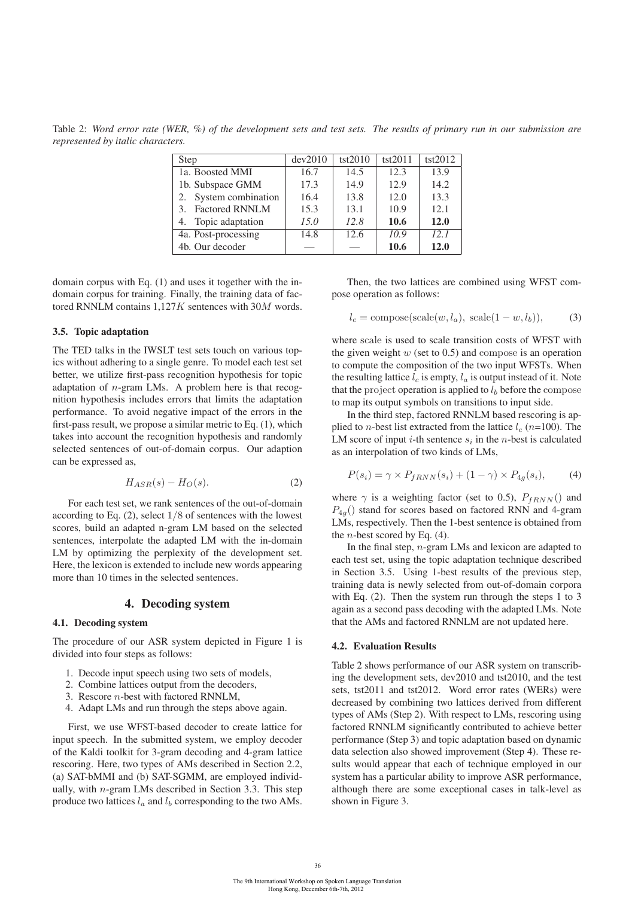Table 2: *Word error rate (WER, %) of the development sets and test sets. The results of primary run in our submission are represented by italic characters.*

| Step                   | dev2010 | tst2010 | tst2011 | tst2012 |
|------------------------|---------|---------|---------|---------|
| 1a. Boosted MMI        | 16.7    | 14.5    | 12.3    | 13.9    |
| 1b. Subspace GMM       | 17.3    | 14.9    | 12.9    | 14.2    |
| 2. System combination  | 16.4    | 13.8    | 12.0    | 13.3    |
| 3. Factored RNNLM      | 15.3    | 13.1    | 10.9    | 12.1    |
| Topic adaptation<br>4. | 15.0    | 12.8    | 10.6    | 12.0    |
| 4a. Post-processing    | 14.8    | 12.6    | 10.9    | 12.1    |
| 4b. Our decoder        |         |         | 10.6    | 12.0    |

domain corpus with Eq. (1) and uses it together with the indomain corpus for training. Finally, the training data of factored RNNLM contains 1,127K sentences with 30M words.

#### 3.5. Topic adaptation

The TED talks in the IWSLT test sets touch on various topics without adhering to a single genre. To model each test set better, we utilize first-pass recognition hypothesis for topic adaptation of  $n$ -gram LMs. A problem here is that recognition hypothesis includes errors that limits the adaptation performance. To avoid negative impact of the errors in the first-pass result, we propose a similar metric to Eq. (1), which takes into account the recognition hypothesis and randomly selected sentences of out-of-domain corpus. Our adaption can be expressed as,

$$
H_{ASR}(s) - H_O(s). \tag{2}
$$

For each test set, we rank sentences of the out-of-domain according to Eq.  $(2)$ , select  $1/8$  of sentences with the lowest scores, build an adapted n-gram LM based on the selected sentences, interpolate the adapted LM with the in-domain LM by optimizing the perplexity of the development set. Here, the lexicon is extended to include new words appearing more than 10 times in the selected sentences.

## 4. Decoding system

#### 4.1. Decoding system

The procedure of our ASR system depicted in Figure 1 is divided into four steps as follows:

- 1. Decode input speech using two sets of models,
- 2. Combine lattices output from the decoders,
- 3. Rescore n-best with factored RNNLM,
- 4. Adapt LMs and run through the steps above again.

First, we use WFST-based decoder to create lattice for input speech. In the submitted system, we employ decoder of the Kaldi toolkit for 3-gram decoding and 4-gram lattice rescoring. Here, two types of AMs described in Section 2.2, (a) SAT-bMMI and (b) SAT-SGMM, are employed individually, with  $n$ -gram LMs described in Section 3.3. This step produce two lattices  $l_a$  and  $l_b$  corresponding to the two AMs.

Then, the two lattices are combined using WFST compose operation as follows:

$$
l_c = \text{composite}(\text{scale}(w, l_a), \text{scale}(1 - w, l_b)),\tag{3}
$$

where scale is used to scale transition costs of WFST with the given weight  $w$  (set to 0.5) and compose is an operation to compute the composition of the two input WFSTs. When the resulting lattice  $l_c$  is empty,  $l_a$  is output instead of it. Note that the project operation is applied to  $l<sub>b</sub>$  before the compose to map its output symbols on transitions to input side.

In the third step, factored RNNLM based rescoring is applied to *n*-best list extracted from the lattice  $l_c$  (*n*=100). The LM score of input *i*-th sentence  $s_i$  in the *n*-best is calculated as an interpolation of two kinds of LMs,

$$
P(s_i) = \gamma \times P_{fRNN}(s_i) + (1 - \gamma) \times P_{4g}(s_i), \tag{4}
$$

where  $\gamma$  is a weighting factor (set to 0.5),  $P_{fRNN}$ () and  $P_{4g}$ () stand for scores based on factored RNN and 4-gram LMs, respectively. Then the 1-best sentence is obtained from the *n*-best scored by Eq.  $(4)$ .

In the final step,  $n$ -gram LMs and lexicon are adapted to each test set, using the topic adaptation technique described in Section 3.5. Using 1-best results of the previous step, training data is newly selected from out-of-domain corpora with Eq. (2). Then the system run through the steps 1 to 3 again as a second pass decoding with the adapted LMs. Note that the AMs and factored RNNLM are not updated here.

#### 4.2. Evaluation Results

Table 2 shows performance of our ASR system on transcribing the development sets, dev2010 and tst2010, and the test sets, tst2011 and tst2012. Word error rates (WERs) were decreased by combining two lattices derived from different types of AMs (Step 2). With respect to LMs, rescoring using factored RNNLM significantly contributed to achieve better performance (Step 3) and topic adaptation based on dynamic data selection also showed improvement (Step 4). These results would appear that each of technique employed in our system has a particular ability to improve ASR performance, although there are some exceptional cases in talk-level as shown in Figure 3.